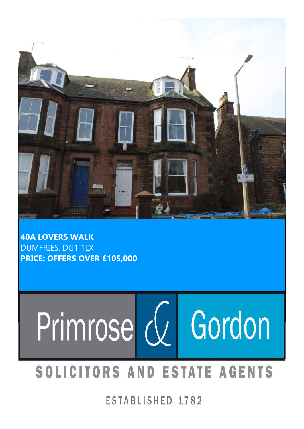

**40A LOVERS WALK** DUMFRIES, DG1 1LX **PRICE: OFFERS OVER £105,000**

555 555 5555

## Name Name Name Name I 555 555 5555 55 555 555 5555 555 555 5555 555 555 555 555 5555 5<br>5<br>5 555 555 5555 555 555 5555

# SOLICITORS AND ESTATE AGENTS

ESTABLISHED 1782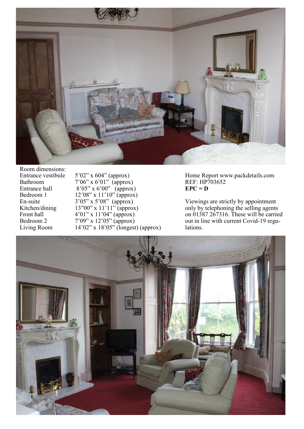

Room dimensions:<br>Entrance vestibule

Bathroom 7'06" x 6'01" (approx) REF: HP703652 Entrance hall  $8'05'' \times 6'00''$  (approx) **EPC = D** Bedroom 1 12'08" x 11'10" (approx) Living Room 14'02" x 18'05" (longest) (approx) lations.

# Entrance vestibule 5'02" x 604" (approx) Home Report www.packdetails.com

En-suite 3'05" x 5'08" (approx) Viewings are strictly by appointment Kitchen/dining 13"00" x 11'11" (approx) only by telephoning the selling agents Front hall 4'01" x 11'04" (approx) on 01387 267316. These will be carried Bedroom 2 7'09" x 12'05" (approx) out in line with current Covid-19 regu-

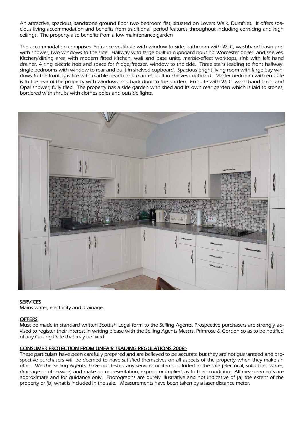An attractive, spacious, sandstone ground floor two bedroom flat, situated on Lovers Walk, Dumfries. It offers spacious living accommodation and benefits from traditional, period features throughout including cornicing and high ceilings. The property also benefits from a low maintenance garden

The accommodation comprises: Entrance vestibule with window to side, bathroom with W. C, washhand basin and with shower, two windows to the side. Hallway with large built-in cupboard housing Worcester boiler and shelves. Kitchen/dining area with modern fitted kitchen, wall and base units, marble-effect worktops, sink with left hand drainer, 4 ring electric hob and space for fridge/freezer, window to the side. Three stairs leading to front hallway, single bedrooms with window to rear and built-in shelved cupboard. Spacious bright living room with large bay windows to the front, gas fire with marble hearth and mantel, built-in shelves cupboard. Master bedroom with en-suite is to the rear of the property with windows and back door to the garden. En-suite with W. C. wash hand basin and Opal shower, fully tiled. The property has a side garden with shed and its own rear garden which is laid to stones, bordered with shrubs with clothes poles and outside lights.



#### **SERVICES**

Mains water, electricity and drainage.

### **OFFERS**

Must be made in standard written Scottish Legal form to the Selling Agents. Prospective purchasers are strongly advised to register their interest in writing please with the Selling Agents Messrs. Primrose & Gordon so as to be notified of any Closing Date that may be fixed.

#### CONSUMER PROTECTION FROM UNFAIR TRADING REGULATIONS 2008:-

These particulars have been carefully prepared and are believed to be accurate but they are not guaranteed and prospective purchasers will be deemed to have satisfied themselves on all aspects of the property when they make an offer. We the Selling Agents, have not tested any services or items included in the sale (electrical, solid fuel, water, drainage or otherwise) and make no representation, express or implied, as to their condition. All measurements are approximate and for guidance only. Photographs are purely illustrative and not indicative of (a) the extent of the property or (b) what is included in the sale. Measurements have been taken by a laser distance meter.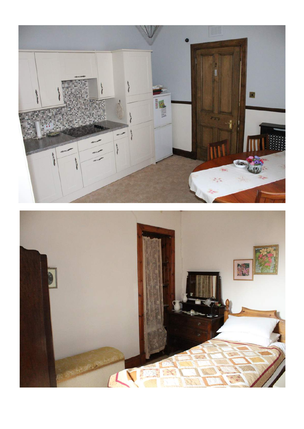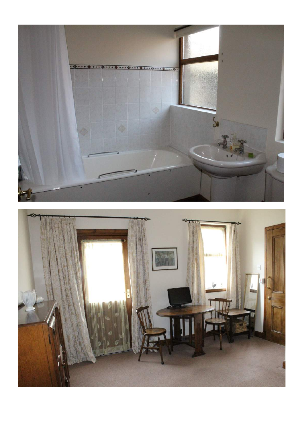

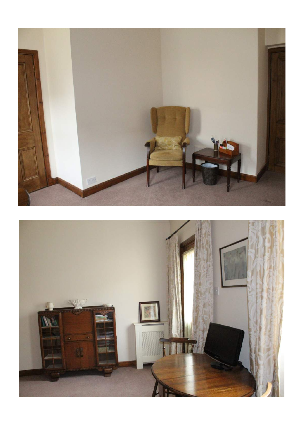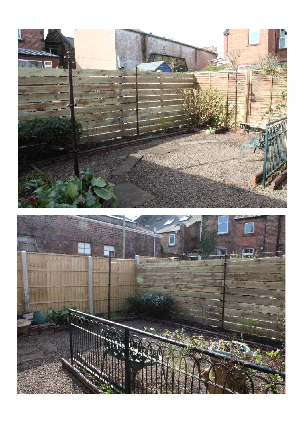